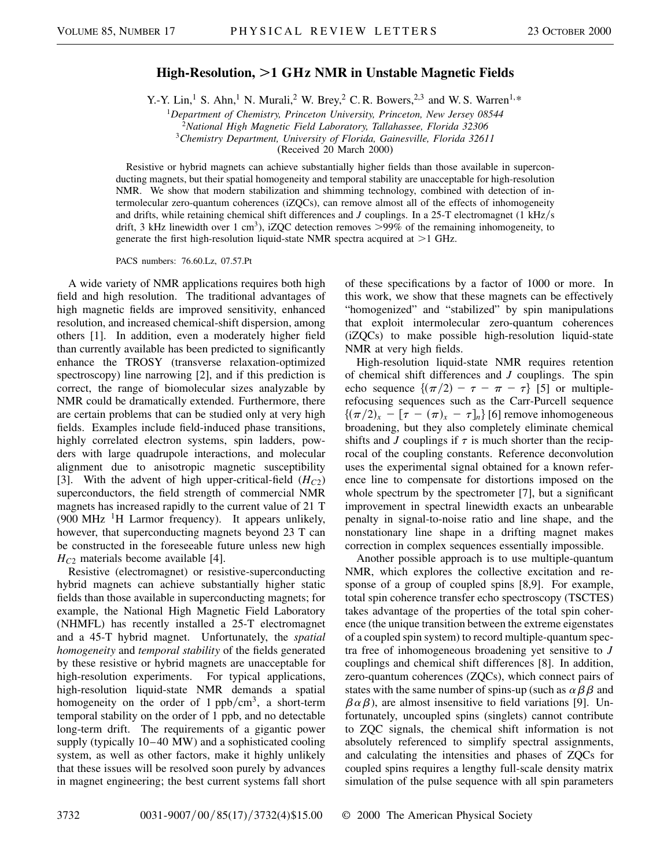## **High-Resolution,** .**1 GHz NMR in Unstable Magnetic Fields**

Y.-Y. Lin,<sup>1</sup> S. Ahn,<sup>1</sup> N. Murali,<sup>2</sup> W. Brey,<sup>2</sup> C. R. Bowers,<sup>2,3</sup> and W. S. Warren<sup>1,\*</sup>

<sup>1</sup>*Department of Chemistry, Princeton University, Princeton, New Jersey 08544*

<sup>2</sup>*National High Magnetic Field Laboratory, Tallahassee, Florida 32306*

<sup>3</sup>*Chemistry Department, University of Florida, Gainesville, Florida 32611*

(Received 20 March 2000)

Resistive or hybrid magnets can achieve substantially higher fields than those available in superconducting magnets, but their spatial homogeneity and temporal stability are unacceptable for high-resolution NMR. We show that modern stabilization and shimming technology, combined with detection of intermolecular zero-quantum coherences (iZQCs), can remove almost all of the effects of inhomogeneity and drifts, while retaining chemical shift differences and  $J$  couplings. In a 25-T electromagnet (1 kHz/s drift, 3 kHz linewidth over 1 cm<sup>3</sup>), iZQC detection removes >99% of the remaining inhomogeneity, to generate the first high-resolution liquid-state NMR spectra acquired at  $>1$  GHz.

PACS numbers: 76.60.Lz, 07.57.Pt

A wide variety of NMR applications requires both high field and high resolution. The traditional advantages of high magnetic fields are improved sensitivity, enhanced resolution, and increased chemical-shift dispersion, among others [1]. In addition, even a moderately higher field than currently available has been predicted to significantly enhance the TROSY (transverse relaxation-optimized spectroscopy) line narrowing [2], and if this prediction is correct, the range of biomolecular sizes analyzable by NMR could be dramatically extended. Furthermore, there are certain problems that can be studied only at very high fields. Examples include field-induced phase transitions, highly correlated electron systems, spin ladders, powders with large quadrupole interactions, and molecular alignment due to anisotropic magnetic susceptibility [3]. With the advent of high upper-critical-field  $(H<sub>C2</sub>)$ superconductors, the field strength of commercial NMR magnets has increased rapidly to the current value of 21 T (900 MHz  $^1$ H Larmor frequency). It appears unlikely, however, that superconducting magnets beyond 23 T can be constructed in the foreseeable future unless new high  $H_{C2}$  materials become available [4].

Resistive (electromagnet) or resistive-superconducting hybrid magnets can achieve substantially higher static fields than those available in superconducting magnets; for example, the National High Magnetic Field Laboratory (NHMFL) has recently installed a 25-T electromagnet and a 45-T hybrid magnet. Unfortunately, the *spatial homogeneity* and *temporal stability* of the fields generated by these resistive or hybrid magnets are unacceptable for high-resolution experiments. For typical applications, high-resolution liquid-state NMR demands a spatial homogeneity on the order of 1 ppb/cm<sup>3</sup>, a short-term temporal stability on the order of 1 ppb, and no detectable long-term drift. The requirements of a gigantic power supply (typically 10–40 MW) and a sophisticated cooling system, as well as other factors, make it highly unlikely that these issues will be resolved soon purely by advances in magnet engineering; the best current systems fall short of these specifications by a factor of 1000 or more. In this work, we show that these magnets can be effectively "homogenized" and "stabilized" by spin manipulations that exploit intermolecular zero-quantum coherences (iZQCs) to make possible high-resolution liquid-state NMR at very high fields.

High-resolution liquid-state NMR requires retention of chemical shift differences and *J* couplings. The spin echo sequence  $\{(\pi/2) - \tau - \pi - \tau\}$  [5] or multiplerefocusing sequences such as the Carr-Purcell sequence  $\{(\pi/2)_x - [\tau - (\pi)_x - \tau]_n\}$  [6] remove inhomogeneous broadening, but they also completely eliminate chemical shifts and *J* couplings if  $\tau$  is much shorter than the reciprocal of the coupling constants. Reference deconvolution uses the experimental signal obtained for a known reference line to compensate for distortions imposed on the whole spectrum by the spectrometer [7], but a significant improvement in spectral linewidth exacts an unbearable penalty in signal-to-noise ratio and line shape, and the nonstationary line shape in a drifting magnet makes correction in complex sequences essentially impossible.

Another possible approach is to use multiple-quantum NMR, which explores the collective excitation and response of a group of coupled spins [8,9]. For example, total spin coherence transfer echo spectroscopy (TSCTES) takes advantage of the properties of the total spin coherence (the unique transition between the extreme eigenstates of a coupled spin system) to record multiple-quantum spectra free of inhomogeneous broadening yet sensitive to *J* couplings and chemical shift differences [8]. In addition, zero-quantum coherences (ZQCs), which connect pairs of states with the same number of spins-up (such as  $\alpha \beta \beta$  and  $\beta \alpha \beta$ ), are almost insensitive to field variations [9]. Unfortunately, uncoupled spins (singlets) cannot contribute to ZQC signals, the chemical shift information is not absolutely referenced to simplify spectral assignments, and calculating the intensities and phases of ZQCs for coupled spins requires a lengthy full-scale density matrix simulation of the pulse sequence with all spin parameters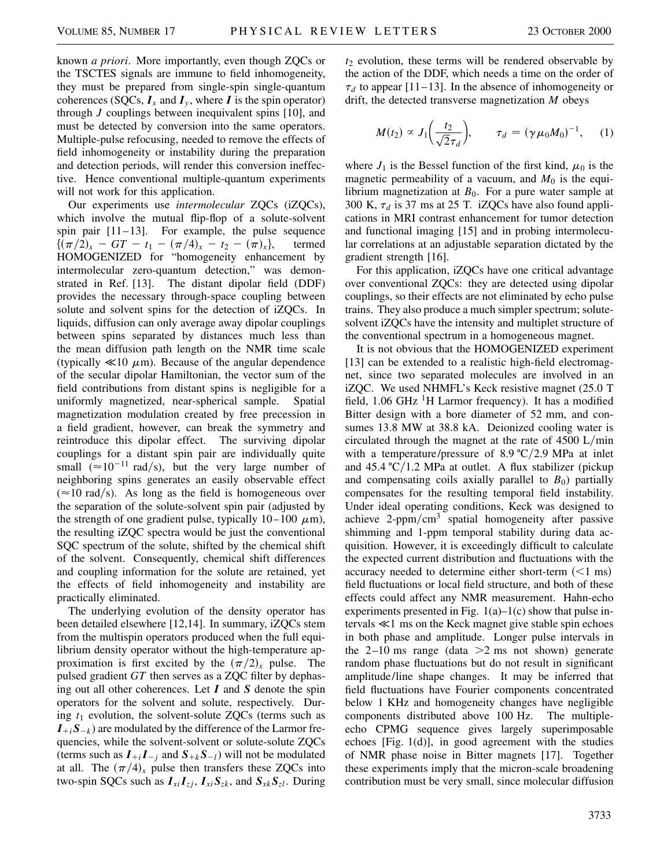known *a priori*. More importantly, even though ZQCs or the TSCTES signals are immune to field inhomogeneity, they must be prepared from single-spin single-quantum coherences (SQCs,  $I_x$  and  $I_y$ , where *I* is the spin operator) through *J* couplings between inequivalent spins [10], and must be detected by conversion into the same operators. Multiple-pulse refocusing, needed to remove the effects of field inhomogeneity or instability during the preparation and detection periods, will render this conversion ineffective. Hence conventional multiple-quantum experiments will not work for this application.

Our experiments use *intermolecular* ZQCs (iZQCs), which involve the mutual flip-flop of a solute-solvent spin pair [11–13]. For example, the pulse sequence  $\{(\pi/2)_x - GT - t_1 - (\pi/4)_x - t_2 - (\pi)_x\}$ , termed HOMOGENIZED for "homogeneity enhancement by intermolecular zero-quantum detection," was demonstrated in Ref. [13]. The distant dipolar field (DDF) provides the necessary through-space coupling between solute and solvent spins for the detection of iZQCs. In liquids, diffusion can only average away dipolar couplings between spins separated by distances much less than the mean diffusion path length on the NMR time scale (typically  $\ll$ 10  $\mu$ m). Because of the angular dependence of the secular dipolar Hamiltonian, the vector sum of the field contributions from distant spins is negligible for a uniformly magnetized, near-spherical sample. Spatial magnetization modulation created by free precession in a field gradient, however, can break the symmetry and reintroduce this dipolar effect. The surviving dipolar couplings for a distant spin pair are individually quite small  $(\approx 10^{-11} \text{ rad/s})$ , but the very large number of neighboring spins generates an easily observable effect  $(\approx 10 \text{ rad/s})$ . As long as the field is homogeneous over the separation of the solute-solvent spin pair (adjusted by the strength of one gradient pulse, typically  $10-100 \mu m$ ), the resulting iZQC spectra would be just the conventional SQC spectrum of the solute, shifted by the chemical shift of the solvent. Consequently, chemical shift differences and coupling information for the solute are retained, yet the effects of field inhomogeneity and instability are practically eliminated.

The underlying evolution of the density operator has been detailed elsewhere [12,14]. In summary, iZQCs stem from the multispin operators produced when the full equilibrium density operator without the high-temperature approximation is first excited by the  $(\pi/2)_x$  pulse. The pulsed gradient *GT* then serves as a ZQC filter by dephasing out all other coherences. Let *I* and *S* denote the spin operators for the solvent and solute, respectively. During  $t_1$  evolution, the solvent-solute ZQCs (terms such as  $I_{+i}S_{-k}$ ) are modulated by the difference of the Larmor frequencies, while the solvent-solvent or solute-solute ZQCs (terms such as  $I_{+i}I_{-i}$  and  $S_{+k}S_{-l}$ ) will not be modulated at all. The  $(\pi/4)_x$  pulse then transfers these ZQCs into two-spin SQCs such as  $I_{xi}I_{zj}$ ,  $I_{xi}S_{zk}$ , and  $S_{xk}S_{zl}$ . During  $t_2$  evolution, these terms will be rendered observable by the action of the DDF, which needs a time on the order of  $\tau_d$  to appear [11–13]. In the absence of inhomogeneity or drift, the detected transverse magnetization *M* obeys

$$
M(t_2) \propto J_1\bigg(\frac{t_2}{\sqrt{2}\tau_d}\bigg), \qquad \tau_d = (\gamma \mu_0 M_0)^{-1}, \quad (1)
$$

where  $J_1$  is the Bessel function of the first kind,  $\mu_0$  is the magnetic permeability of a vacuum, and  $M_0$  is the equilibrium magnetization at  $B_0$ . For a pure water sample at 300 K,  $\tau_d$  is 37 ms at 25 T. iZQCs have also found applications in MRI contrast enhancement for tumor detection and functional imaging [15] and in probing intermolecular correlations at an adjustable separation dictated by the gradient strength [16].

For this application, iZQCs have one critical advantage over conventional ZQCs: they are detected using dipolar couplings, so their effects are not eliminated by echo pulse trains. They also produce a much simpler spectrum; solutesolvent iZQCs have the intensity and multiplet structure of the conventional spectrum in a homogeneous magnet.

It is not obvious that the HOMOGENIZED experiment [13] can be extended to a realistic high-field electromagnet, since two separated molecules are involved in an iZQC. We used NHMFL's Keck resistive magnet (25.0 T field,  $1.06$  GHz <sup>1</sup>H Larmor frequency). It has a modified Bitter design with a bore diameter of 52 mm, and consumes 13.8 MW at 38.8 kA. Deionized cooling water is circulated through the magnet at the rate of  $4500 \text{ L/min}$ with a temperature/pressure of  $8.9 \text{ °C}/2.9 \text{ MPa}$  at inlet and  $45.4 \text{ °C}/1.2 \text{ MPa}$  at outlet. A flux stabilizer (pickup and compensating coils axially parallel to  $B_0$ ) partially compensates for the resulting temporal field instability. Under ideal operating conditions, Keck was designed to achieve  $2$ -ppm/cm<sup>3</sup> spatial homogeneity after passive shimming and 1-ppm temporal stability during data acquisition. However, it is exceedingly difficult to calculate the expected current distribution and fluctuations with the accuracy needed to determine either short-term  $(< 1$  ms) field fluctuations or local field structure, and both of these effects could affect any NMR measurement. Hahn-echo experiments presented in Fig.  $1(a)-1(c)$  show that pulse intervals  $\ll$ 1 ms on the Keck magnet give stable spin echoes in both phase and amplitude. Longer pulse intervals in the 2–10 ms range (data  $>2$  ms not shown) generate random phase fluctuations but do not result in significant amplitude/line shape changes. It may be inferred that field fluctuations have Fourier components concentrated below 1 KHz and homogeneity changes have negligible components distributed above 100 Hz. The multipleecho CPMG sequence gives largely superimposable echoes [Fig. 1(d)], in good agreement with the studies of NMR phase noise in Bitter magnets [17]. Together these experiments imply that the micron-scale broadening contribution must be very small, since molecular diffusion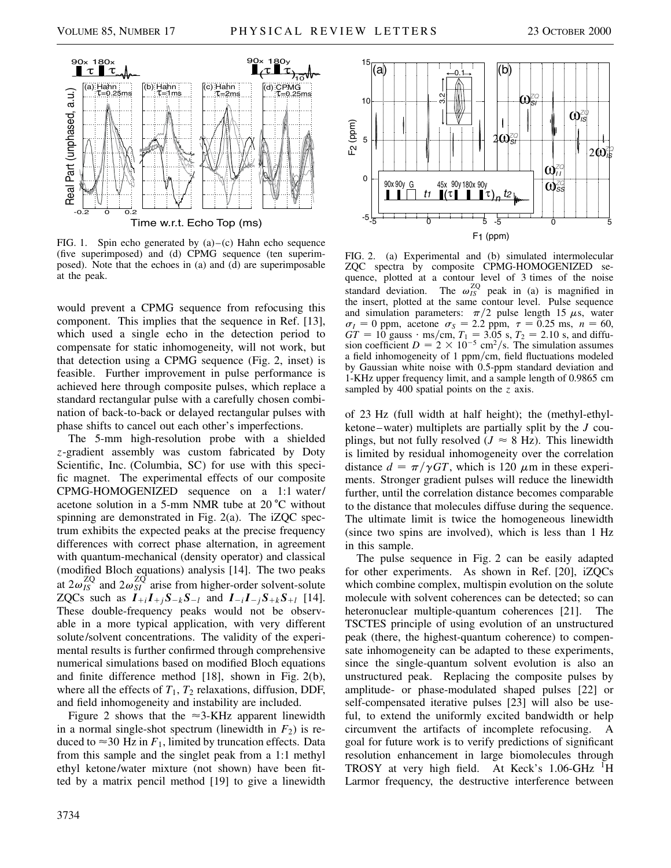

FIG. 1. Spin echo generated by (a)–(c) Hahn echo sequence (five superimposed) and (d) CPMG sequence (ten superimposed). Note that the echoes in (a) and (d) are superimposable at the peak.

would prevent a CPMG sequence from refocusing this component. This implies that the sequence in Ref. [13], which used a single echo in the detection period to compensate for static inhomogeneity, will not work, but that detection using a CPMG sequence (Fig. 2, inset) is feasible. Further improvement in pulse performance is achieved here through composite pulses, which replace a standard rectangular pulse with a carefully chosen combination of back-to-back or delayed rectangular pulses with phase shifts to cancel out each other's imperfections.

The 5-mm high-resolution probe with a shielded *z*-gradient assembly was custom fabricated by Doty Scientific, Inc. (Columbia, SC) for use with this specific magnet. The experimental effects of our composite CPMG-HOMOGENIZED sequence on a 1:1 water/ acetone solution in a 5-mm NMR tube at  $20\text{ °C}$  without spinning are demonstrated in Fig. 2(a). The iZQC spectrum exhibits the expected peaks at the precise frequency differences with correct phase alternation, in agreement with quantum-mechanical (density operator) and classical (modified Bloch equations) analysis [14]. The two peaks at  $2\omega_{IS}^{ZQ}$  and  $2\omega_{SI}^{ZQ}$  arise from higher-order solvent-solute ZQCs such as  $I_{+i}I_{+j}S_{-k}S_{-l}$  and  $I_{-i}I_{-j}S_{+k}S_{+l}$  [14]. These double-frequency peaks would not be observable in a more typical application, with very different solute/solvent concentrations. The validity of the experimental results is further confirmed through comprehensive numerical simulations based on modified Bloch equations and finite difference method [18], shown in Fig. 2(b), where all the effects of  $T_1$ ,  $T_2$  relaxations, diffusion, DDF, and field inhomogeneity and instability are included.

Figure 2 shows that the  $\approx$ 3-KHz apparent linewidth in a normal single-shot spectrum (linewidth in  $F_2$ ) is reduced to  $\approx$ 30 Hz in  $F_1$ , limited by truncation effects. Data from this sample and the singlet peak from a 1:1 methyl ethyl ketone/water mixture (not shown) have been fitted by a matrix pencil method [19] to give a linewidth



FIG. 2. (a) Experimental and (b) simulated intermolecular ZQC spectra by composite CPMG-HOMOGENIZED sequence, plotted at a contour level of 3 times of the noise standard deviation. The  $\omega_{IS}^{ZQ}$  peak in (a) is magnified in the insert, plotted at the same contour level. Pulse sequence and simulation parameters:  $\pi/2$  pulse length 15  $\mu$ s, water  $\sigma_I = 0$  ppm, acetone  $\sigma_S = 2.2$  ppm,  $\tau = 0.25$  ms,  $n = 60$ ,  $GT = 10$  gauss  $\cdot$  ms/cm,  $T_1 = 3.05$  s,  $T_2 = 2.10$  s, and diffusion coefficient  $D = 2 \times 10^{-5}$  cm<sup>2</sup>/s. The simulation assumes a field inhomogeneity of 1 ppm/cm, field fluctuations modeled by Gaussian white noise with 0.5-ppm standard deviation and 1-KHz upper frequency limit, and a sample length of 0.9865 cm sampled by 400 spatial points on the *z* axis.

of 23 Hz (full width at half height); the (methyl-ethylketone–water) multiplets are partially split by the *J* couplings, but not fully resolved ( $J \approx 8$  Hz). This linewidth is limited by residual inhomogeneity over the correlation distance  $d = \pi / \gamma GT$ , which is 120  $\mu$ m in these experiments. Stronger gradient pulses will reduce the linewidth further, until the correlation distance becomes comparable to the distance that molecules diffuse during the sequence. The ultimate limit is twice the homogeneous linewidth (since two spins are involved), which is less than 1 Hz in this sample.

The pulse sequence in Fig. 2 can be easily adapted for other experiments. As shown in Ref. [20], iZQCs which combine complex, multispin evolution on the solute molecule with solvent coherences can be detected; so can heteronuclear multiple-quantum coherences [21]. The TSCTES principle of using evolution of an unstructured peak (there, the highest-quantum coherence) to compensate inhomogeneity can be adapted to these experiments, since the single-quantum solvent evolution is also an unstructured peak. Replacing the composite pulses by amplitude- or phase-modulated shaped pulses [22] or self-compensated iterative pulses [23] will also be useful, to extend the uniformly excited bandwidth or help circumvent the artifacts of incomplete refocusing. A goal for future work is to verify predictions of significant resolution enhancement in large biomolecules through TROSY at very high field. At Keck's  $1.06\text{-}GHz^{-1}H$ Larmor frequency, the destructive interference between